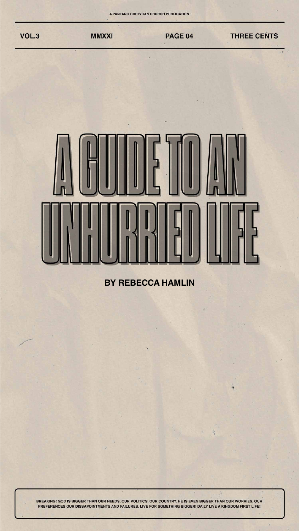

## <u>Curillulus Land</u>

## **BY REBECCA HAMLIN**



炭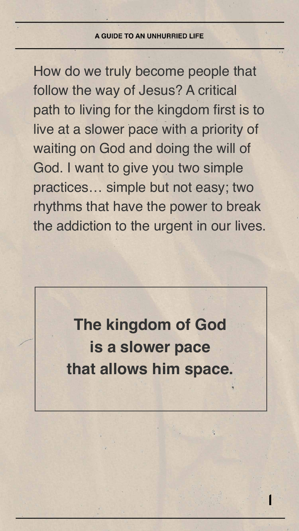

How do we truly become people that follow the way of Jesus? A critical path to living for the kingdom first is to live at a slower pace with a priority of waiting on God and doing the will of God. I want to give you two simple practices… simple but not easy; two rhythms that have the power to break the addiction to the urgent in our lives.

> **The kingdom of God is a slower pace that allows him space.**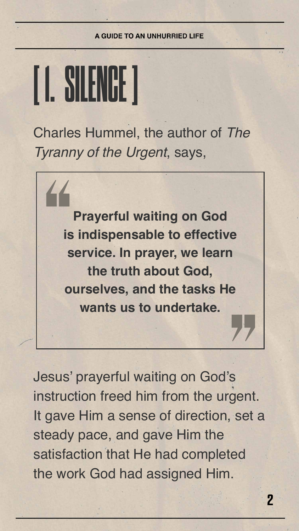



## Charles Hummel, the author of *The Tyranny of the Urgent*, says,

Jesus' prayerful waiting on God's instruction freed him from the urgent. It gave Him a sense of direction, set a steady pace, and gave Him the satisfaction that He had completed the work God had assigned Him.



**service. In prayer, we learn the truth about God, ourselves, and the tasks He wants us to undertake.**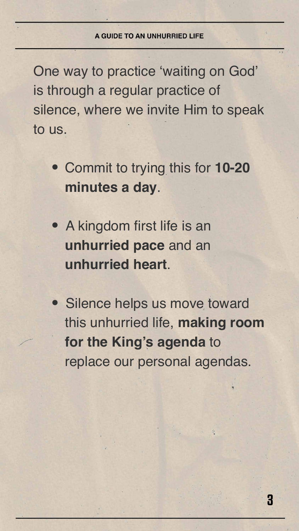

One way to practice 'waiting on God' is through a regular practice of silence, where we invite Him to speak to us.

 **•** Commit to trying this for **10-20 minutes a day**.

 **•** A kingdom first life is an **unhurried pace** and an **unhurried heart**.

 **•** Silence helps us move toward this unhurried life, **making room for the King's agenda** to replace our personal agendas.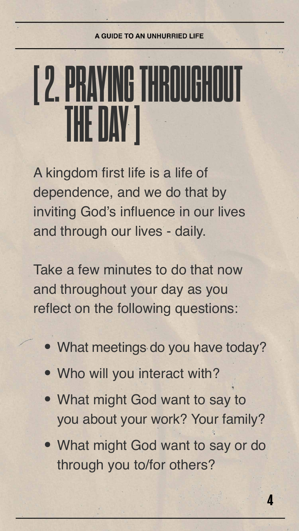

## **[ 2. PRAYING THROUGHOUT THE DAY ]**

A kingdom first life is a life of dependence, and we do that by inviting God's influence in our lives and through our lives - daily.

Take a few minutes to do that now and throughout your day as you reflect on the following questions:

- What meetings do you have today?
- Who will you interact with?
- What might God want to say to you about your work? Your family?
- What might God want to say or do through you to/for others?